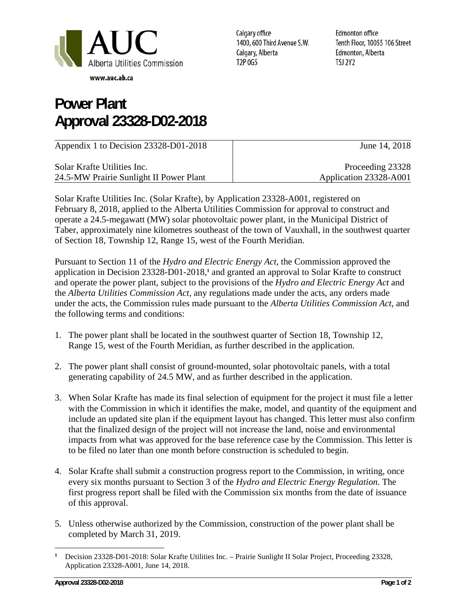

## **Power Plant Approval 23328-D02-2018**

Calgary office 1400, 600 Third Avenue S.W. Calgary, Alberta T2P 0G5

**Edmonton office** Tenth Floor, 10055 106 Street Edmonton, Alberta **T5J 2Y2** 

| Appendix 1 to Decision 23328-D01-2018   | June 14, 2018          |
|-----------------------------------------|------------------------|
| Solar Krafte Utilities Inc.             | Proceeding 23328       |
| 24.5-MW Prairie Sunlight II Power Plant | Application 23328-A001 |

Solar Krafte Utilities Inc. (Solar Krafte), by Application 23328-A001, registered on February 8, 2018, applied to the Alberta Utilities Commission for approval to construct and operate a 24.5-megawatt (MW) solar photovoltaic power plant, in the Municipal District of Taber, approximately nine kilometres southeast of the town of Vauxhall, in the southwest quarter of Section 18, Township 12, Range 15, west of the Fourth Meridian.

Pursuant to Section 11 of the *Hydro and Electric Energy Act*, the Commission approved the application in Decision 23328-D01-2018,**<sup>1</sup>** and granted an approval to Solar Krafte to construct and operate the power plant, subject to the provisions of the *Hydro and Electric Energy Act* and the *Alberta Utilities Commission Act*, any regulations made under the acts, any orders made under the acts, the Commission rules made pursuant to the *Alberta Utilities Commission Act*, and the following terms and conditions:

- 1. The power plant shall be located in the southwest quarter of Section 18, Township 12, Range 15, west of the Fourth Meridian, as further described in the application.
- 2. The power plant shall consist of ground-mounted, solar photovoltaic panels, with a total generating capability of 24.5 MW, and as further described in the application.
- 3. When Solar Krafte has made its final selection of equipment for the project it must file a letter with the Commission in which it identifies the make, model, and quantity of the equipment and include an updated site plan if the equipment layout has changed. This letter must also confirm that the finalized design of the project will not increase the land, noise and environmental impacts from what was approved for the base reference case by the Commission. This letter is to be filed no later than one month before construction is scheduled to begin.
- 4. Solar Krafte shall submit a construction progress report to the Commission, in writing, once every six months pursuant to Section 3 of the *Hydro and Electric Energy Regulation*. The first progress report shall be filed with the Commission six months from the date of issuance of this approval.
- 5. Unless otherwise authorized by the Commission, construction of the power plant shall be completed by March 31, 2019.

<sup>-</sup>**<sup>1</sup>** Decision 23328-D01-2018: Solar Krafte Utilities Inc. – Prairie Sunlight II Solar Project, Proceeding 23328, Application 23328-A001, June 14, 2018.